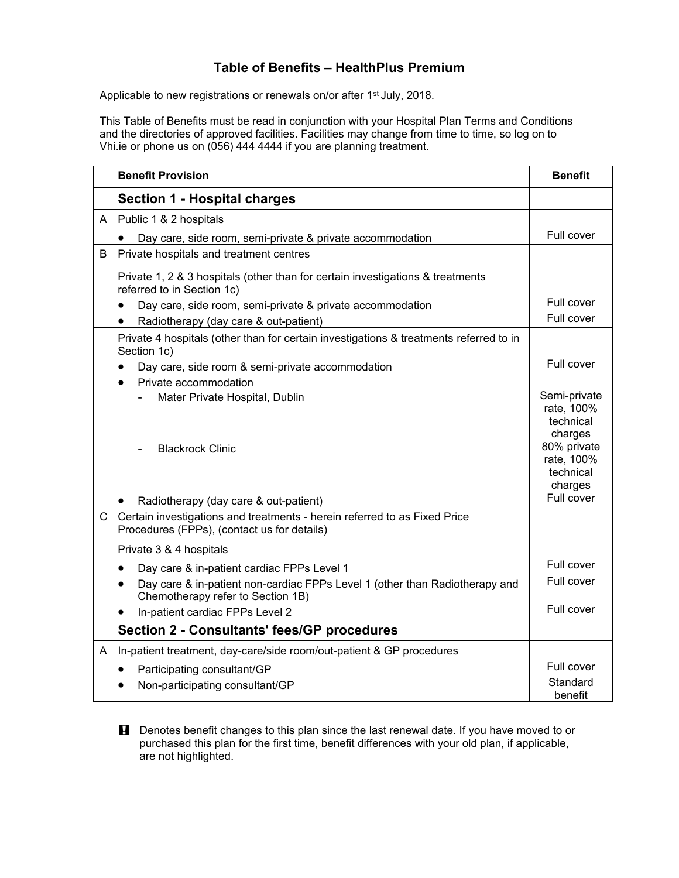## **Table of Benefits – HealthPlus Premium**

Applicable to new registrations or renewals on/or after 1<sup>st</sup> July, 2018.

This Table of Benefits must be read in conjunction with your Hospital Plan Terms and Conditions and the directories of approved facilities. Facilities may change from time to time, so log on to Vhi.ie or phone us on (056) 444 4444 if you are planning treatment.

|              | <b>Benefit Provision</b>                                                                                                      | <b>Benefit</b>                                     |
|--------------|-------------------------------------------------------------------------------------------------------------------------------|----------------------------------------------------|
|              | <b>Section 1 - Hospital charges</b>                                                                                           |                                                    |
| A            | Public 1 & 2 hospitals                                                                                                        |                                                    |
|              | Day care, side room, semi-private & private accommodation                                                                     | Full cover                                         |
| B            | Private hospitals and treatment centres                                                                                       |                                                    |
|              | Private 1, 2 & 3 hospitals (other than for certain investigations & treatments<br>referred to in Section 1c)                  |                                                    |
|              | Day care, side room, semi-private & private accommodation<br>$\bullet$                                                        | Full cover                                         |
|              | Radiotherapy (day care & out-patient)<br>$\bullet$                                                                            | Full cover                                         |
|              | Private 4 hospitals (other than for certain investigations & treatments referred to in<br>Section 1c)                         |                                                    |
|              | Day care, side room & semi-private accommodation<br>$\bullet$                                                                 | Full cover                                         |
|              | Private accommodation<br>$\bullet$                                                                                            |                                                    |
|              | Mater Private Hospital, Dublin                                                                                                | Semi-private<br>rate, 100%<br>technical<br>charges |
|              | <b>Blackrock Clinic</b>                                                                                                       | 80% private<br>rate, 100%<br>technical<br>charges  |
|              | Radiotherapy (day care & out-patient)                                                                                         | Full cover                                         |
| $\mathsf{C}$ | Certain investigations and treatments - herein referred to as Fixed Price<br>Procedures (FPPs), (contact us for details)      |                                                    |
|              | Private 3 & 4 hospitals                                                                                                       |                                                    |
|              | Day care & in-patient cardiac FPPs Level 1<br>$\bullet$                                                                       | Full cover                                         |
|              | Day care & in-patient non-cardiac FPPs Level 1 (other than Radiotherapy and<br>$\bullet$<br>Chemotherapy refer to Section 1B) | Full cover                                         |
|              | In-patient cardiac FPPs Level 2<br>$\bullet$                                                                                  | Full cover                                         |
|              | <b>Section 2 - Consultants' fees/GP procedures</b>                                                                            |                                                    |
| A            | In-patient treatment, day-care/side room/out-patient & GP procedures                                                          |                                                    |
|              | Participating consultant/GP<br>$\bullet$                                                                                      | Full cover                                         |
|              | Non-participating consultant/GP                                                                                               | Standard<br>benefit                                |

**H** Denotes benefit changes to this plan since the last renewal date. If you have moved to or purchased this plan for the first time, benefit differences with your old plan, if applicable, are not highlighted.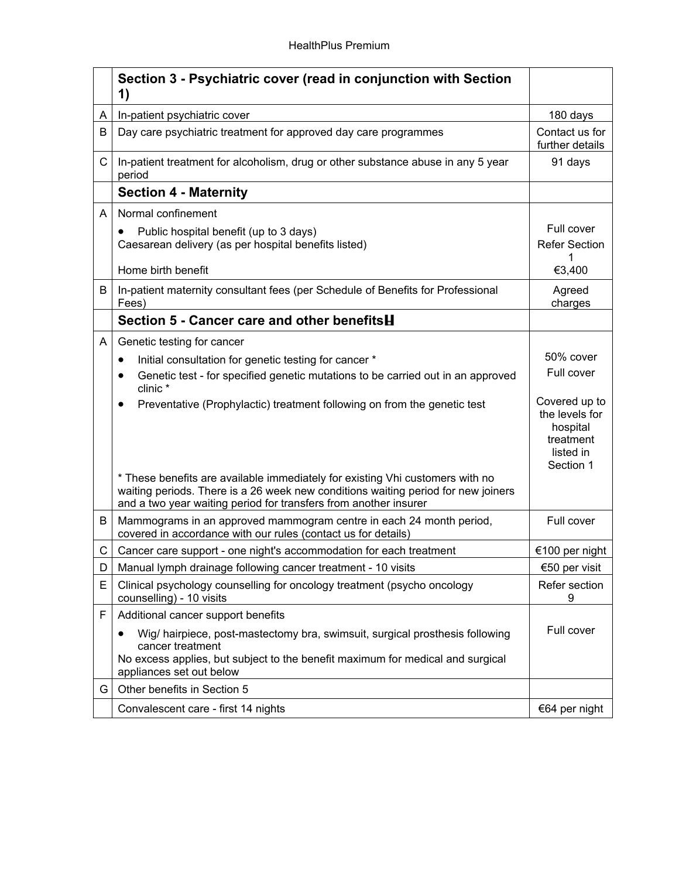|   | Section 3 - Psychiatric cover (read in conjunction with Section<br>1)                                                                                                                                                                  |                                                                                    |
|---|----------------------------------------------------------------------------------------------------------------------------------------------------------------------------------------------------------------------------------------|------------------------------------------------------------------------------------|
| A | In-patient psychiatric cover                                                                                                                                                                                                           | 180 days                                                                           |
| B | Day care psychiatric treatment for approved day care programmes                                                                                                                                                                        | Contact us for<br>further details                                                  |
| C | In-patient treatment for alcoholism, drug or other substance abuse in any 5 year<br>period                                                                                                                                             | 91 days                                                                            |
|   | <b>Section 4 - Maternity</b>                                                                                                                                                                                                           |                                                                                    |
| A | Normal confinement                                                                                                                                                                                                                     |                                                                                    |
|   | Public hospital benefit (up to 3 days)<br>$\bullet$<br>Caesarean delivery (as per hospital benefits listed)                                                                                                                            | Full cover<br><b>Refer Section</b><br>1                                            |
|   | Home birth benefit                                                                                                                                                                                                                     | €3,400                                                                             |
| B | In-patient maternity consultant fees (per Schedule of Benefits for Professional<br>Fees)                                                                                                                                               | Agreed<br>charges                                                                  |
|   | Section 5 - Cancer care and other benefits <b>H</b>                                                                                                                                                                                    |                                                                                    |
| A | Genetic testing for cancer                                                                                                                                                                                                             |                                                                                    |
|   | Initial consultation for genetic testing for cancer *<br>$\bullet$                                                                                                                                                                     | 50% cover                                                                          |
|   | Genetic test - for specified genetic mutations to be carried out in an approved<br>clinic*                                                                                                                                             | Full cover                                                                         |
|   | Preventative (Prophylactic) treatment following on from the genetic test                                                                                                                                                               | Covered up to<br>the levels for<br>hospital<br>treatment<br>listed in<br>Section 1 |
|   | * These benefits are available immediately for existing Vhi customers with no<br>waiting periods. There is a 26 week new conditions waiting period for new joiners<br>and a two year waiting period for transfers from another insurer |                                                                                    |
| B | Mammograms in an approved mammogram centre in each 24 month period,<br>covered in accordance with our rules (contact us for details)                                                                                                   | Full cover                                                                         |
| C | Cancer care support - one night's accommodation for each treatment                                                                                                                                                                     | €100 per night                                                                     |
| D | Manual lymph drainage following cancer treatment - 10 visits                                                                                                                                                                           | €50 per visit                                                                      |
| Е | Clinical psychology counselling for oncology treatment (psycho oncology<br>counselling) - 10 visits                                                                                                                                    | Refer section<br>9                                                                 |
| F | Additional cancer support benefits                                                                                                                                                                                                     |                                                                                    |
|   | Wig/ hairpiece, post-mastectomy bra, swimsuit, surgical prosthesis following<br>cancer treatment<br>No excess applies, but subject to the benefit maximum for medical and surgical<br>appliances set out below                         | Full cover                                                                         |
| G | Other benefits in Section 5                                                                                                                                                                                                            |                                                                                    |
|   | Convalescent care - first 14 nights                                                                                                                                                                                                    | €64 per night                                                                      |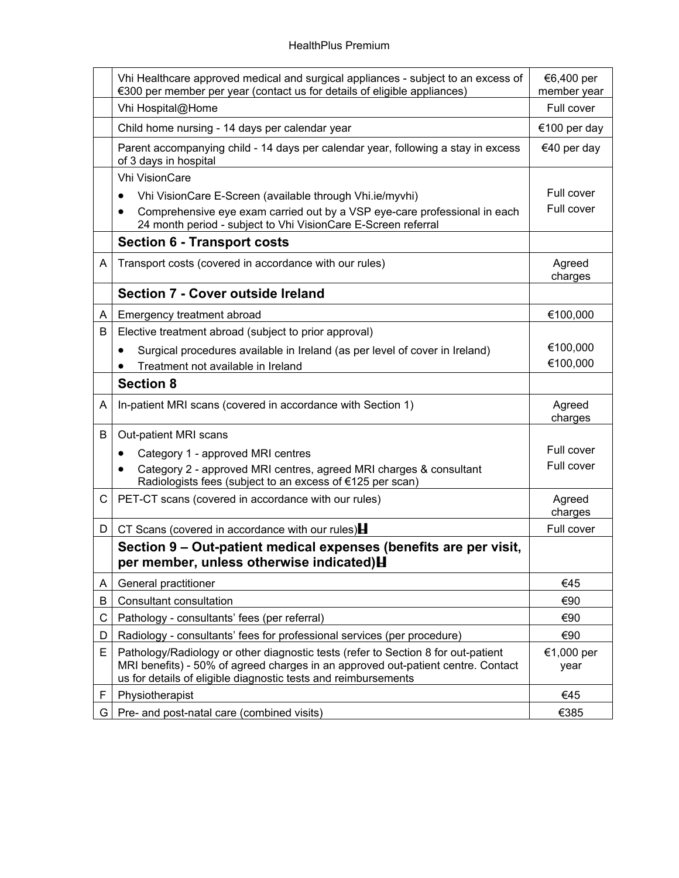|   | Vhi Healthcare approved medical and surgical appliances - subject to an excess of<br>€300 per member per year (contact us for details of eligible appliances)                                                                           | €6,400 per<br>member year |
|---|-----------------------------------------------------------------------------------------------------------------------------------------------------------------------------------------------------------------------------------------|---------------------------|
|   | Vhi Hospital@Home                                                                                                                                                                                                                       | Full cover                |
|   | Child home nursing - 14 days per calendar year                                                                                                                                                                                          | €100 per day              |
|   | Parent accompanying child - 14 days per calendar year, following a stay in excess<br>of 3 days in hospital                                                                                                                              | €40 per day               |
|   | <b>Vhi VisionCare</b>                                                                                                                                                                                                                   |                           |
|   | Vhi VisionCare E-Screen (available through Vhi.ie/myvhi)                                                                                                                                                                                | Full cover                |
|   | Comprehensive eye exam carried out by a VSP eye-care professional in each<br>24 month period - subject to Vhi VisionCare E-Screen referral                                                                                              | Full cover                |
|   | <b>Section 6 - Transport costs</b>                                                                                                                                                                                                      |                           |
| A | Transport costs (covered in accordance with our rules)                                                                                                                                                                                  | Agreed<br>charges         |
|   | Section 7 - Cover outside Ireland                                                                                                                                                                                                       |                           |
| A | Emergency treatment abroad                                                                                                                                                                                                              | €100,000                  |
| B | Elective treatment abroad (subject to prior approval)                                                                                                                                                                                   |                           |
|   | Surgical procedures available in Ireland (as per level of cover in Ireland)<br>$\bullet$                                                                                                                                                | €100,000                  |
|   | Treatment not available in Ireland                                                                                                                                                                                                      | €100,000                  |
|   | <b>Section 8</b>                                                                                                                                                                                                                        |                           |
| A | In-patient MRI scans (covered in accordance with Section 1)                                                                                                                                                                             | Agreed<br>charges         |
| B | Out-patient MRI scans                                                                                                                                                                                                                   |                           |
|   | Category 1 - approved MRI centres                                                                                                                                                                                                       | Full cover                |
|   | Category 2 - approved MRI centres, agreed MRI charges & consultant<br>Radiologists fees (subject to an excess of €125 per scan)                                                                                                         | Full cover                |
| C | PET-CT scans (covered in accordance with our rules)                                                                                                                                                                                     | Agreed<br>charges         |
| D | CT Scans (covered in accordance with our rules) $\blacksquare$                                                                                                                                                                          | Full cover                |
|   | Section 9 - Out-patient medical expenses (benefits are per visit,<br>per member, unless otherwise indicated) H                                                                                                                          |                           |
| A | General practitioner                                                                                                                                                                                                                    | €45                       |
| B | Consultant consultation                                                                                                                                                                                                                 | €90                       |
| C | Pathology - consultants' fees (per referral)                                                                                                                                                                                            | €90                       |
| D | Radiology - consultants' fees for professional services (per procedure)                                                                                                                                                                 | €90                       |
| E | Pathology/Radiology or other diagnostic tests (refer to Section 8 for out-patient<br>MRI benefits) - 50% of agreed charges in an approved out-patient centre. Contact<br>us for details of eligible diagnostic tests and reimbursements | €1,000 per<br>year        |
| F | Physiotherapist                                                                                                                                                                                                                         | €45                       |
| G | Pre- and post-natal care (combined visits)                                                                                                                                                                                              | €385                      |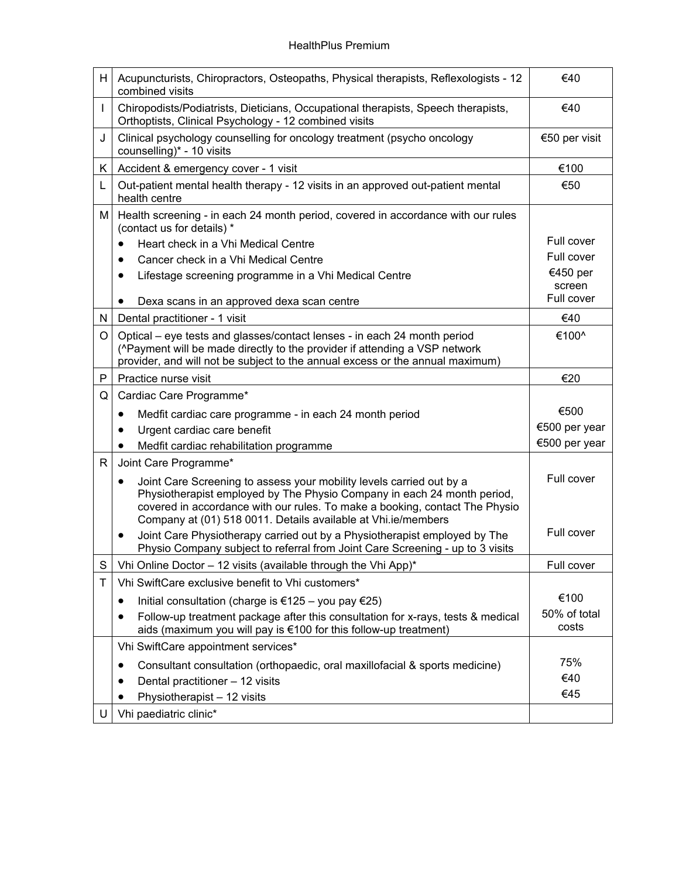| H. | Acupuncturists, Chiropractors, Osteopaths, Physical therapists, Reflexologists - 12<br>combined visits                                                                                                                                                                                                       | €40                   |
|----|--------------------------------------------------------------------------------------------------------------------------------------------------------------------------------------------------------------------------------------------------------------------------------------------------------------|-----------------------|
|    | Chiropodists/Podiatrists, Dieticians, Occupational therapists, Speech therapists,<br>Orthoptists, Clinical Psychology - 12 combined visits                                                                                                                                                                   | €40                   |
| J  | Clinical psychology counselling for oncology treatment (psycho oncology<br>counselling)* - 10 visits                                                                                                                                                                                                         | €50 per visit         |
| K. | Accident & emergency cover - 1 visit                                                                                                                                                                                                                                                                         | €100                  |
| L  | Out-patient mental health therapy - 12 visits in an approved out-patient mental<br>health centre                                                                                                                                                                                                             | €50                   |
| М  | Health screening - in each 24 month period, covered in accordance with our rules<br>(contact us for details) *                                                                                                                                                                                               |                       |
|    | Heart check in a Vhi Medical Centre                                                                                                                                                                                                                                                                          | Full cover            |
|    | Cancer check in a Vhi Medical Centre<br>$\bullet$                                                                                                                                                                                                                                                            | Full cover            |
|    | Lifestage screening programme in a Vhi Medical Centre                                                                                                                                                                                                                                                        | €450 per              |
|    |                                                                                                                                                                                                                                                                                                              | screen<br>Full cover  |
|    | Dexa scans in an approved dexa scan centre                                                                                                                                                                                                                                                                   |                       |
| N  | Dental practitioner - 1 visit                                                                                                                                                                                                                                                                                | €40                   |
| O  | Optical – eye tests and glasses/contact lenses - in each 24 month period<br>(^Payment will be made directly to the provider if attending a VSP network<br>provider, and will not be subject to the annual excess or the annual maximum)                                                                      | €100^                 |
| P  | Practice nurse visit                                                                                                                                                                                                                                                                                         | €20                   |
| Q  | Cardiac Care Programme*                                                                                                                                                                                                                                                                                      |                       |
|    | Medfit cardiac care programme - in each 24 month period                                                                                                                                                                                                                                                      | €500                  |
|    | Urgent cardiac care benefit                                                                                                                                                                                                                                                                                  | €500 per year         |
|    | Medfit cardiac rehabilitation programme                                                                                                                                                                                                                                                                      | €500 per year         |
| R  | Joint Care Programme*                                                                                                                                                                                                                                                                                        |                       |
|    | Joint Care Screening to assess your mobility levels carried out by a<br>$\bullet$<br>Physiotherapist employed by The Physio Company in each 24 month period,<br>covered in accordance with our rules. To make a booking, contact The Physio<br>Company at (01) 518 0011. Details available at Vhi.ie/members | Full cover            |
|    | Joint Care Physiotherapy carried out by a Physiotherapist employed by The<br>٠<br>Physio Company subject to referral from Joint Care Screening - up to 3 visits                                                                                                                                              | Full cover            |
| S  | Vhi Online Doctor - 12 visits (available through the Vhi App)*                                                                                                                                                                                                                                               | Full cover            |
| Τ  | Vhi SwiftCare exclusive benefit to Vhi customers*                                                                                                                                                                                                                                                            |                       |
|    | Initial consultation (charge is €125 – you pay €25)<br>٠                                                                                                                                                                                                                                                     | €100                  |
|    | Follow-up treatment package after this consultation for x-rays, tests & medical<br>aids (maximum you will pay is €100 for this follow-up treatment)                                                                                                                                                          | 50% of total<br>costs |
|    | Vhi SwiftCare appointment services*                                                                                                                                                                                                                                                                          |                       |
|    | Consultant consultation (orthopaedic, oral maxillofacial & sports medicine)                                                                                                                                                                                                                                  | 75%                   |
|    |                                                                                                                                                                                                                                                                                                              |                       |
|    |                                                                                                                                                                                                                                                                                                              | €40                   |
|    | Dental practitioner - 12 visits<br>Physiotherapist - 12 visits                                                                                                                                                                                                                                               | €45                   |